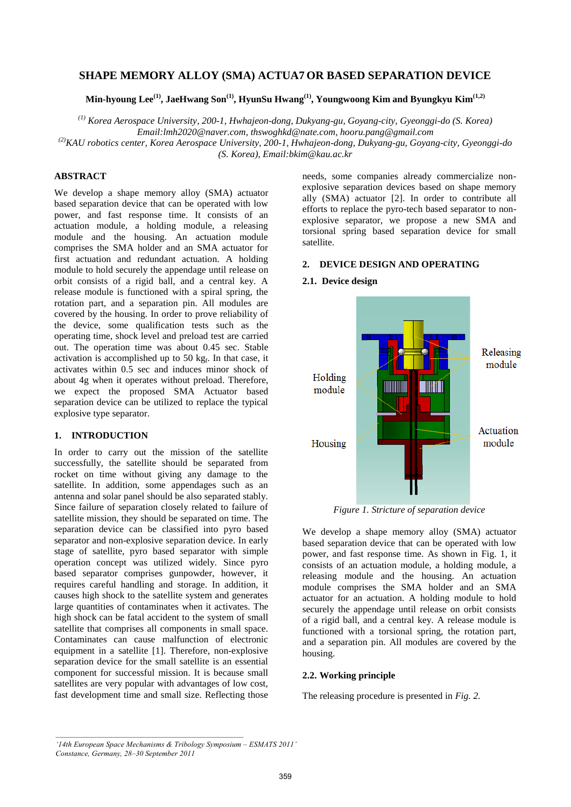# **SHAPE MEMORY ALLOY (SMA) ACTUA7OR BASED SEPARATION DEVICE**

**Min-hyoung Lee(1) , JaeHwang Son(1) , HyunSu Hwang(1) , Youngwoong Kim and Byungkyu Kim(1,2)**

*(1) Korea Aerospace University, 200-1, Hwhajeon-dong, Dukyang-gu, Goyang-city, Gyeonggi-do (S. Korea) Email:lmh2020@naver.com, thswoghkd@nate.com, hooru.pang@gmail.com*

*(2)KAU robotics center, Korea Aerospace University, 200-1, Hwhajeon-dong, Dukyang-gu, Goyang-city, Gyeonggi-do (S. Korea), Email:bkim@kau.ac.kr* 

# **ABSTRACT**

We develop a shape memory alloy (SMA) actuator based separation device that can be operated with low power, and fast response time. It consists of an actuation module, a holding module, a releasing module and the housing. An actuation module comprises the SMA holder and an SMA actuator for first actuation and redundant actuation. A holding module to hold securely the appendage until release on orbit consists of a rigid ball, and a central key. A release module is functioned with a spiral spring, the rotation part, and a separation pin. All modules are covered by the housing. In order to prove reliability of the device, some qualification tests such as the operating time, shock level and preload test are carried out. The operation time was about 0.45 sec. Stable activation is accomplished up to 50 kg<sub>f</sub>. In that case, it activates within 0.5 sec and induces minor shock of about 4g when it operates without preload. Therefore, we expect the proposed SMA Actuator based separation device can be utilized to replace the typical explosive type separator.

## **1. INTRODUCTION**

In order to carry out the mission of the satellite successfully, the satellite should be separated from rocket on time without giving any damage to the satellite. In addition, some appendages such as an antenna and solar panel should be also separated stably. Since failure of separation closely related to failure of satellite mission, they should be separated on time. The separation device can be classified into pyro based separator and non-explosive separation device. In early stage of satellite, pyro based separator with simple operation concept was utilized widely. Since pyro based separator comprises gunpowder, however, it requires careful handling and storage. In addition, it causes high shock to the satellite system and generates large quantities of contaminates when it activates. The high shock can be fatal accident to the system of small satellite that comprises all components in small space. Contaminates can cause malfunction of electronic equipment in a satellite [1]. Therefore, non-explosive separation device for the small satellite is an essential component for successful mission. It is because small satellites are very popular with advantages of low cost, fast development time and small size. Reflecting those

needs, some companies already commercialize nonexplosive separation devices based on shape memory ally (SMA) actuator [2]. In order to contribute all efforts to replace the pyro-tech based separator to nonexplosive separator, we propose a new SMA and torsional spring based separation device for small satellite.

#### **2. DEVICE DESIGN AND OPERATING**

# **2.1. Device design**



*Figure 1. Stricture of separation device* 

We develop a shape memory alloy (SMA) actuator based separation device that can be operated with low power, and fast response time. As shown in Fig. 1, it consists of an actuation module, a holding module, a releasing module and the housing. An actuation module comprises the SMA holder and an SMA actuator for an actuation. A holding module to hold securely the appendage until release on orbit consists of a rigid ball, and a central key. A release module is functioned with a torsional spring, the rotation part, and a separation pin. All modules are covered by the housing.

# **2.2. Working principle**

The releasing procedure is presented in *Fig. 2.*

*<sup>&#</sup>x27;14th European Space Mechanisms & Tribology Symposium – ESMATS 2011' Constance, Germany, 28–30 September 2011*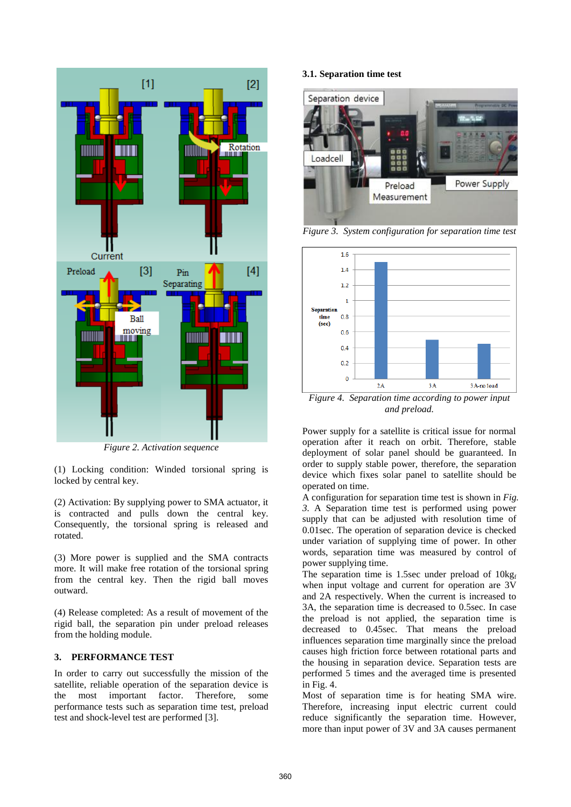

*Figure 2. Activation sequence* 

(1) Locking condition: Winded torsional spring is locked by central key.

(2) Activation: By supplying power to SMA actuator, it is contracted and pulls down the central key. Consequently, the torsional spring is released and rotated.

(3) More power is supplied and the SMA contracts more. It will make free rotation of the torsional spring from the central key. Then the rigid ball moves outward.

(4) Release completed: As a result of movement of the rigid ball, the separation pin under preload releases from the holding module.

# **3. PERFORMANCE TEST**

In order to carry out successfully the mission of the satellite, reliable operation of the separation device is the most important factor. Therefore, some performance tests such as separation time test, preload test and shock-level test are performed [3].

## **3.1. Separation time test**



*Figure 3. System configuration for separation time test* 



*Figure 4. Separation time according to power input and preload.* 

Power supply for a satellite is critical issue for normal operation after it reach on orbit. Therefore, stable deployment of solar panel should be guaranteed. In order to supply stable power, therefore, the separation device which fixes solar panel to satellite should be operated on time.

A configuration for separation time test is shown in *Fig. 3.* A Separation time test is performed using power supply that can be adjusted with resolution time of 0.01sec. The operation of separation device is checked under variation of supplying time of power. In other words, separation time was measured by control of power supplying time.

The separation time is 1.5sec under preload of  $10\text{kg}_f$ when input voltage and current for operation are 3V and 2A respectively. When the current is increased to 3A, the separation time is decreased to 0.5sec. In case the preload is not applied, the separation time is decreased to 0.45sec. That means the preload influences separation time marginally since the preload causes high friction force between rotational parts and the housing in separation device. Separation tests are performed 5 times and the averaged time is presented in Fig. 4.

Most of separation time is for heating SMA wire. Therefore, increasing input electric current could reduce significantly the separation time. However, more than input power of 3V and 3A causes permanent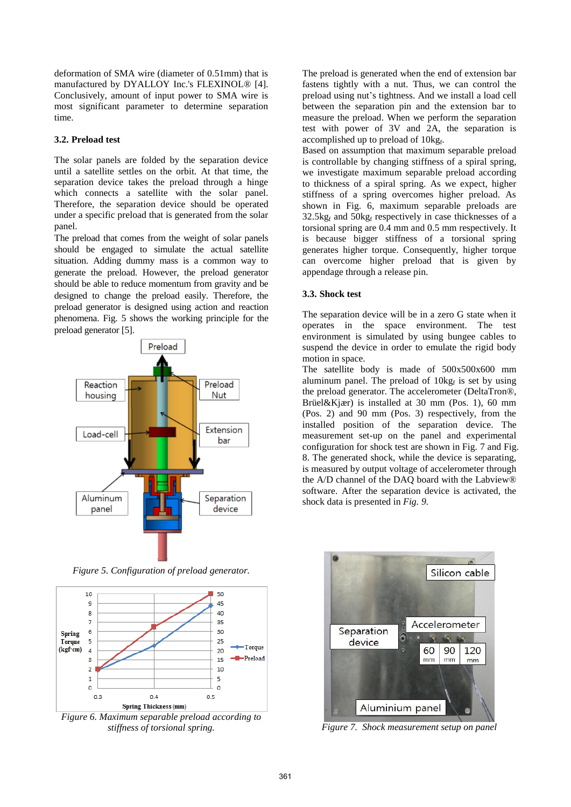deformation of SMA wire (diameter of 0.51mm) that is manufactured by DYALLOY Inc.'s FLEXINOL® [4]. Conclusively, amount of input power to SMA wire is most significant parameter to determine separation time.

## **3.2. Preload test**

The solar panels are folded by the separation device until a satellite settles on the orbit. At that time, the separation device takes the preload through a hinge which connects a satellite with the solar panel. Therefore, the separation device should be operated under a specific preload that is generated from the solar panel.

The preload that comes from the weight of solar panels should be engaged to simulate the actual satellite situation. Adding dummy mass is a common way to generate the preload. However, the preload generator should be able to reduce momentum from gravity and be designed to change the preload easily. Therefore, the preload generator is designed using action and reaction phenomena. Fig. 5 shows the working principle for the preload generator [5].



*Figure 5. Configuration of preload generator.* 



The preload is generated when the end of extension bar fastens tightly with a nut. Thus, we can control the preload using nut's tightness. And we install a load cell between the separation pin and the extension bar to measure the preload. When we perform the separation test with power of 3V and 2A, the separation is accomplished up to preload of 10kg<sub>f</sub>.

Based on assumption that maximum separable preload is controllable by changing stiffness of a spiral spring, we investigate maximum separable preload according to thickness of a spiral spring. As we expect, higher stiffness of a spring overcomes higher preload. As shown in Fig. 6, maximum separable preloads are  $32.5\text{kg}_f$  and  $50\text{kg}_f$  respectively in case thicknesses of a torsional spring are 0.4 mm and 0.5 mm respectively. It is because bigger stiffness of a torsional spring generates higher torque. Consequently, higher torque can overcome higher preload that is given by appendage through a release pin.

### **3.3. Shock test**

The separation device will be in a zero G state when it operates in the space environment. The test environment is simulated by using bungee cables to suspend the device in order to emulate the rigid body motion in space.

The satellite body is made of 500x500x600 mm aluminum panel. The preload of  $10\text{kg}_f$  is set by using the preload generator. The accelerometer (DeltaTron® , Brüel&Kjæ r) is installed at 30 mm (Pos. 1), 60 mm (Pos. 2) and 90 mm (Pos. 3) respectively, from the installed position of the separation device. The measurement set-up on the panel and experimental configuration for shock test are shown in Fig. 7 and Fig. 8. The generated shock, while the device is separating, is measured by output voltage of accelerometer through the A/D channel of the DAQ board with the Labview® software. After the separation device is activated, the shock data is presented in *Fig. 9.*



*Figure 7. Shock measurement setup on panel*